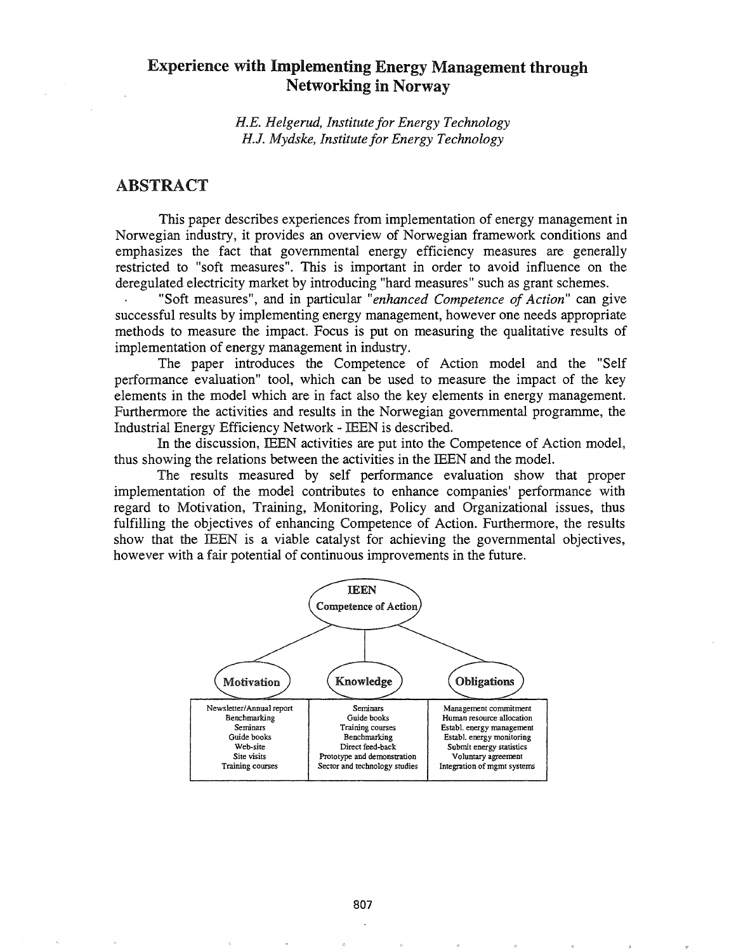# Experience with Implementing Energy Management through Networking in Norway

*H.E. Helgerud, Institute for Energy Technology H.J. Mydske, Institute for Energy Technology*

## ABSTRACT

This paper describes experiences from implementation of energy management in Norwegian industry, it provides an overview of Norwegian framework conditions and emphasizes the fact that governmental energy efficiency measures are generally restricted to "soft measures". This is important in order to avoid influence on the deregulated electricity market by introducing "hard measures" such as grant schemes.

"Soft measures", and in particular *"enhanced Competence of Action"* can give successful results by implementing energy management, however one needs appropriate methods to measure the impact. Focus is put on measuring the qualitative results of implementation of energy management in industry.

The paper introduces the Competence of Action model and the "Self performance evaluation" tool, which can be used to measure the impact of the key elements in the model which are in fact also the key elements in energy management. Furthermore the activities and results in the Norwegian governmental programme, the Industrial Energy Efficiency Network - IEEN is described.

In the discussion, IEEN activities are put into the Competence of Action model, thus showing the relations between the activities in the IEEN and the model.

The results measured by self performance evaluation show that proper implementation of the model contributes to enhance companies' performance with regard to Motivation, Training, Monitoring, Policy and Organizational issues, thus fulfilling the objectives of enhancing Competence of Action. Furthermore, the results show that the IEEN is a viable catalyst for achieving the governmental objectives, however with a fair potential of continuous improvements in the future.

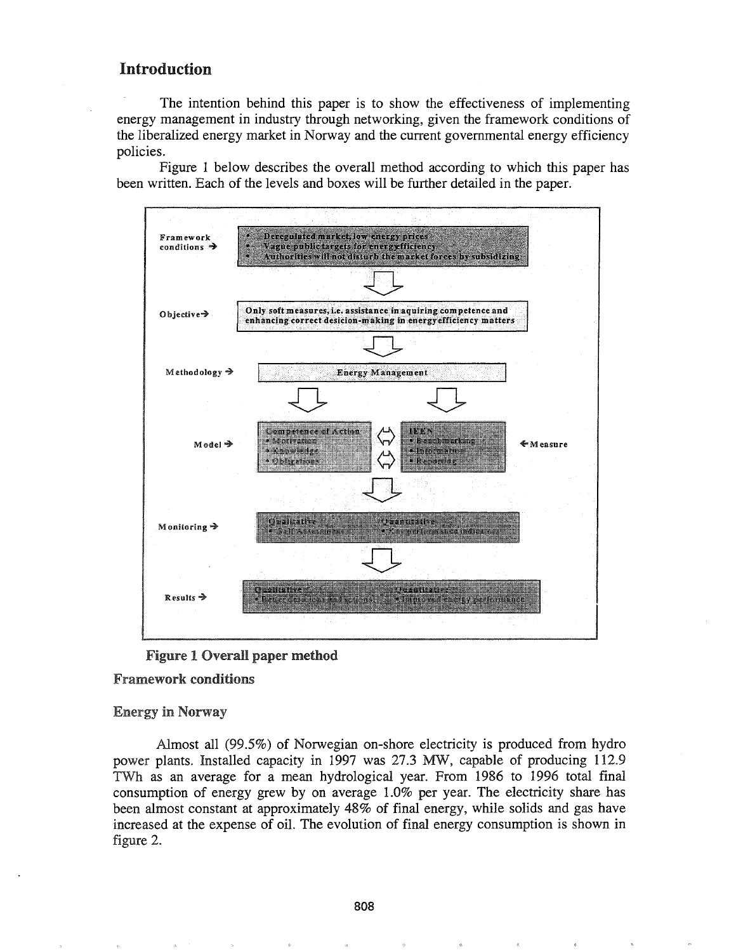## Introduction

The intention behind this paper is to show the effectiveness of implementing energy management in industry through networking, given the framework conditions of the liberalized energy market in Norway and the current governmental energy efficiency policies.

Figure 1 below describes the overall method according to which this paper has been written. Each of the levels and boxes will be further detailed in the paper.





#### Framework conditions

**Energy in Norway** 

Almost all (99.5%) of Norwegian on-shore electricity is produced from hydro power plants. Installed capacity in 1997 was 27.3 MW, capable of producing 112.9 TWh as an average for a mean hydrological year. From 1986 to 1996 total final consumption of energy grew by on average 1.0% per year. The electricity share has been almost constant at approximately 48% of final energy, while solids and gas have increased at the expense of oil. The evolution of final energy consumption is shown in figure 2.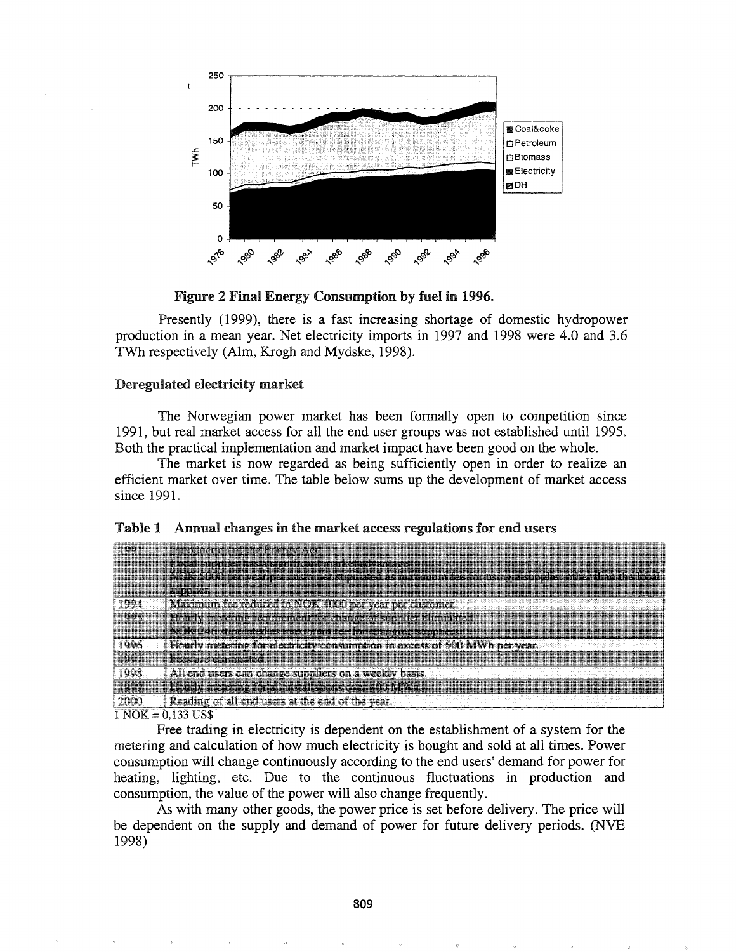

Figure 2 Final Energy Consumption by fuel in 1996.

Presently (1999), there is a fast increasing shortage of domestic hydropower production in a mean year. Net electricity imports in 1997 and 1998 were 4.0 and 3.6 TWh respectively (AIm, Krogh and Mydske, 1998).

### Deregulated electricity market

The Norwegian power market has been formally open to competition since 1991, but real market access for all the end user groups was not established until 1995. Both the practical implementation and market impact have been good on the whole.

The market is now regarded as being sufficiently open in order to realize an efficient market over time.. The table below sums up the development of market access since 1991.

|  | Table 1 Annual changes in the market access regulations for end users |
|--|-----------------------------------------------------------------------|
|  |                                                                       |

|            | <b>Firstnetished he Fresh, Act</b>                                                                |
|------------|---------------------------------------------------------------------------------------------------|
|            | <u>Lecularenter thas significant narks utvarions</u>                                              |
|            | NOK NRU her year nor customer structured as maximum fee for using a simplification that the local |
|            |                                                                                                   |
| -1994      | Maximum for reduced to NOK 4000 per year per customer                                             |
| <b>TER</b> | <b>Anily restaura sempiones establications de Circu</b>                                           |
|            | NOK 246 structuated as maximum for the changing suppliers.                                        |
| 1996       | Hourly metering for electricity consumption in excess of 500 MWh per year.                        |
|            | Jess jare minsted                                                                                 |
| 1998       | All end users can change suppliers on a weekly basis.                                             |
| 1994       | - Hoirly mean his for all meal above means with Wiki                                              |
| 2000       | Reading of all end users at the end of the year.                                                  |
|            |                                                                                                   |

 $1$  NOK = 0,133 US\$

Free trading in electricity is dependent on the establishment of a system for the metering and calculation of how much electricity is bought and sold at all times. Power consumption will change continuously according to the end users' demand for power for heating, lighting, etc. Due to the continuous fluctuations in production and consumption, the value of the power will also change frequently.

As with many other goods, the power price is set before delivery. The price will be dependent on the supply and demand of power for future delivery periods. (NVE 1998)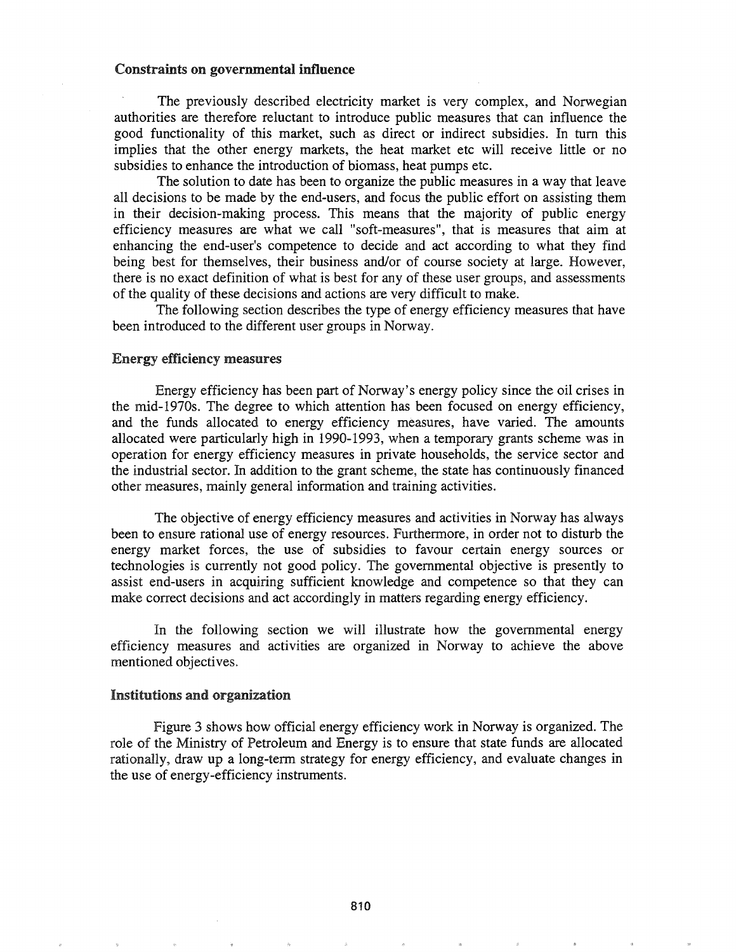#### Constraints on governmental influence

The previously described electricity market is very complex, and Norwegian authorities are therefore reluctant to introduce public measures that can influence the good functionality of this market, such as direct or indirect subsidies. In tum this implies that the other energy markets, the heat market etc will receive little or no subsidies to enhance the introduction of biomass, heat pumps etc.

The solution to date has been to organize the public measures in a way that leave all decisions to be made by the end-users, and focus the public effort on assisting them in their decision-making process. This means that the majority of public energy efficiency measures are what we call "soft-measures", that is measures that aim at enhancing the end-user's competence to decide and act according to what they find being best for themselves, their business and/or of course society at large. However, there is no exact definition of what is best for any of these user groups, and assessments of the quality of these decisions and actions are very difficult to make.

The following section describes the type of energy efficiency measures that have been introduced to the different user groups in Norway.

#### Energy efficiency measures

Energy efficiency has been part of Norway's energy policy since the oil crises in the mid-1970s. The degree to which attention has been focused on energy efficiency, and the funds allocated to energy efficiency measures, have varied. The amounts allocated were particularly high in 1990-1993, when a temporary grants scheme was in operation for energy efficiency measures in private households, the service sector and the industrial sector. In addition to the grant scheme, the state has continuously financed other measures, mainly general information and training activities.

The objective of energy efficiency measures and activities in Norway has always been to ensure rational use of energy resources. Furthermore, in order not to disturb the energy market forces, the use of subsidies to favour certain energy sources or technologies is currently not good policy. The governmental objective is presently to assist end-users in acquiring sufficient knowledge and competence so that they can make correct decisions and act accordingly in matters regarding energy efficiency.

In the following section we will illustrate how the governmental energy efficiency measures and activities are organized in Norway to achieve the above mentioned objectives.

### Institutions and organization

Figure 3 shows how official energy efficiency work in Norway is organized. The role of the Ministry of Petroleum and Energy is to ensure that state funds are allocated rationally, draw up a long-term strategy for energy efficiency, and evaluate changes in the use of energy-efficiency instruments.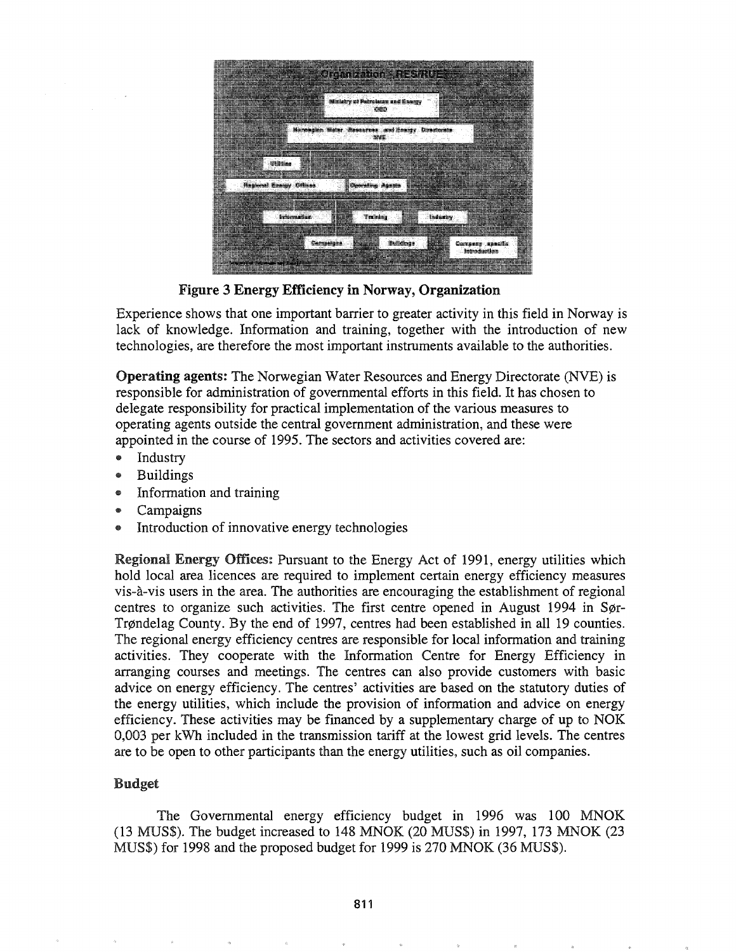

Figure 3 Energy Efficiency in Norway, Organization

Experience shows that one important barrier to greater activity in this field in Norway is lack of knowledge. Information and training, together with the introduction of new technologies, are therefore the most important instruments available to the authorities.

Operating agents: The Norwegian Water Resources and Energy Directorate (NVE) is responsible for administration of governmental efforts in this field. It has chosen to delegate responsibility for practical implementation of the various measures to operating agents outside the central government administration, and these were appointed in the course of 1995. The sectors and activities covered are:

- .. Industry
- Buildings
- Information and training
- Campaigns
- Introduction of innovative energy technologies

Regional Energy Offices: Pursuant to the Energy Act of 1991, energy utilities which hold local area licences are required to implement certain energy efficiency measures vis-a.-vis users in the area. The authorities are encouraging the establishment of regional centres to organize such activities. The first centre opened in August 1994 in Sør-Trøndelag County. By the end of 1997, centres had been established in all 19 counties. The regional energy efficiency centres are responsible for local information and training activities. They cooperate with the Infonnation Centre for Energy Efficiency in arranging courses and meetings. The centres can also provide customers with basic advice on energy efficiency. The centres' activities are based on the statutory duties of the energy utilities, which include the provision of information and advice on energy efficiency. These activities may be financed by a supplementary charge of up to NOK 0,003 per kWh included in the transmission tariff at the lowest grid levels. The centres are to be open to other participants than the energy utilities, such as oil companies.

## Budget

The Governmental energy efficiency budget in 1996 was 100 MNOK (13 MUS\$). The budget increased to 148 MNOK (20 MUS\$) in 1997, 173 MNOK (23 MUS\$) for 1998 and the proposed budget for 1999 is 270 MNOK (36 MUS\$).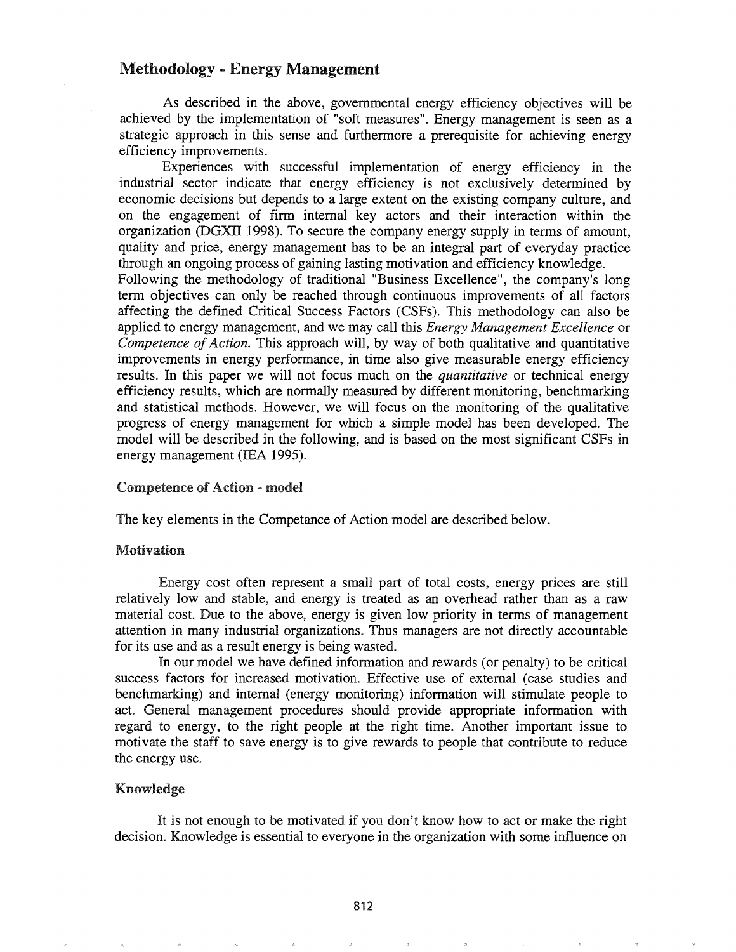## Methodology - Energy Management

As described in the above, governmental energy efficiency objectives will be achieved by the implementation of "soft measures". Energy management is seen as a strategic approach in this sense and furthermore a prerequisite for achieving energy efficiency improvements.

Experiences with successful implementation of energy efficiency in the industrial sector indicate that energy efficiency is not exclusively determined by economic decisions but depends to a large extent on the existing company culture, and on the engagement of firm internal key actors and their interaction within the organization (DGXII 1998). To secure the company energy supply in terms of amount, quality and price, energy management has to be an integral part of everyday practice through an ongoing process of gaining lasting motivation and efficiency knowledge.

Following the methodology of traditional "Business Excellence", the company's long term objectives can only be reached through continuous improvements of all factors affecting the defined Critical Success Factors (CSFs). This methodology can also be applied to energy management, and we may call this *Energy Management Excellence* or *Competence of Action.* This approach will, by way of both qualitative and quantitative improvements in energy performance, in time also give measurable energy efficiency results. In this paper we will not focus much on the *quantitative* or technical energy efficiency results, which are normally measured by different monitoring, benchmarking and statistical methods. However, we will focus on the monitoring of the qualitative progress of energy management for which a simple model has been developed. The model will be described in the following, and is based on the most significant CSFs in energy management (lEA 1995).

#### Competence of Action - model

The key elements in the Competance of Action model are described below.

### Motivation

Energy cost often represent a small part of total costs, energy prices are still relatively low and stable, and energy is treated as an overhead rather than as a raw material cost. Due to the above, energy is given low priority in terms of management attention in many industrial organizations. Thus managers are not directly accountable for its use and as a result energy is being wasted.

In our model we have defined information and rewards (or penalty) to be critical success factors for increased motivation. Effective use of external (case studies and benchmarking) and internal (energy monitoring) information will stimulate people to act. General management procedures should provide appropriate information with regard to energy, to the right people at the right time. Another important issue to motivate the staff to save energy is to give rewards to people that contribute to reduce the energy use..

#### Knowledge

It is not enough to be motivated if you don't know how to act or make the right decision. Knowledge is essential to everyone in the organization with some influence on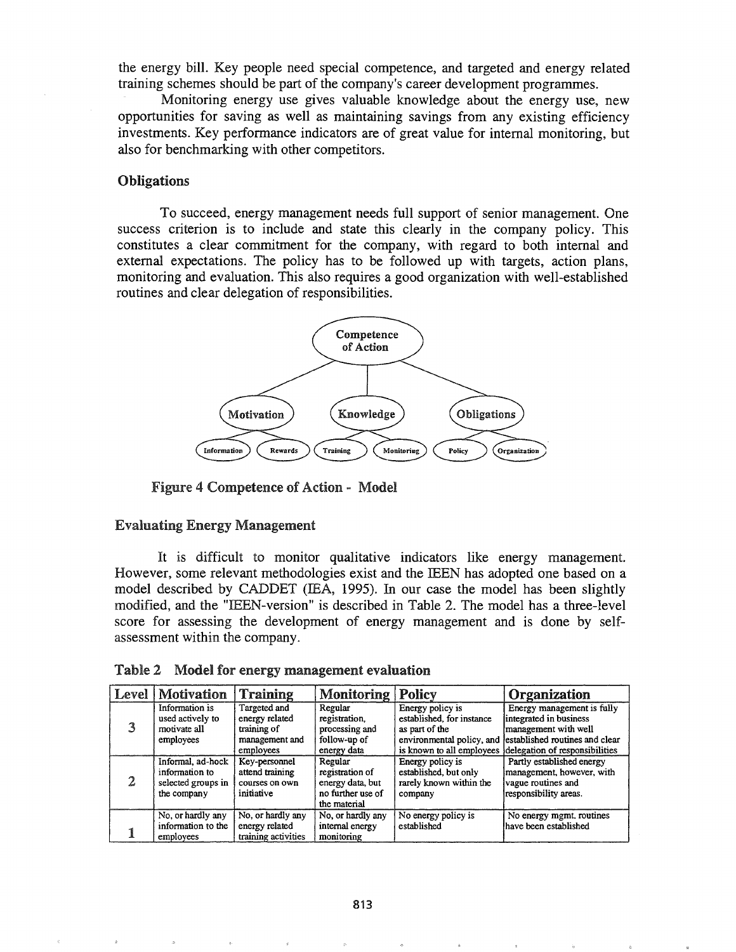the energy bill. Key people need special competence, and targeted and energy related training schemes should be part of the company's career development programmes.

Monitoring energy use gives valuable knowledge about the energy use, new opportunities for saving as well as maintaining savings from any existing efficiency investments. Key performance indicators are of great value for internal monitoring, but also for benchmarking with other competitors.

#### Obligations

To succeed, energy management needs full support of senior management. One success criterion is to include and state this clearly in the company policy. This constitutes a clear commitment for the company, with regard to both internal and external expectations. The policy has to be followed up with targets, action plans, monitoring and evaluation. This also requires a good organization with well-established routines and clear delegation of responsibilities.



Figure 4 Competence of Action - Model

#### Evaluating Energy Management

It is difficult to monitor qualitative indicators like energy management. However, some relevant methodologies exist and the IEEN has adopted one based on a model described by CADDET (IEA, 1995). In our case the model has been slightly modified, and the "IEEN-version" is described in Table 2. The model has a three-level score for assessing the development of energy management and is done by selfassessment within the company.

| Level | Motivation                                                               | Training                                                                     | <b>Monitoring</b>                                                                   | Policy                                                                                       | Organization                                                                                                                                                               |
|-------|--------------------------------------------------------------------------|------------------------------------------------------------------------------|-------------------------------------------------------------------------------------|----------------------------------------------------------------------------------------------|----------------------------------------------------------------------------------------------------------------------------------------------------------------------------|
| 3     | Information is<br>used actively to<br>motivate all<br>employees          | Targeted and<br>energy related<br>training of<br>management and<br>employees | Regular<br>registration,<br>processing and<br>follow-up of<br>energy data           | Energy policy is<br>established, for instance<br>as part of the<br>is known to all employees | Energy management is fully<br>integrated in business<br>management with well<br>environmental policy, and established routines and clear<br>delegation of responsibilities |
| 2     | Informal, ad-hock<br>information to<br>selected groups in<br>the company | Key-personnel<br>attend training<br>courses on own<br>initiative             | Regular<br>registration of<br>energy data, but<br>no further use of<br>the material | Energy policy is<br>established, but only<br>rarely known within the<br>company              | Partly established energy<br>management, however, with<br>vague routines and<br>responsibility areas.                                                                      |
|       | No, or hardly any<br>information to the<br>employees                     | No, or hardly any<br>energy related<br>training activities                   | No, or hardly any<br>internal energy<br>monitoring                                  | No energy policy is<br>established                                                           | No energy mgmt. routines<br>have been established                                                                                                                          |

|  |  |  | Table 2 Model for energy management evaluation |  |
|--|--|--|------------------------------------------------|--|
|--|--|--|------------------------------------------------|--|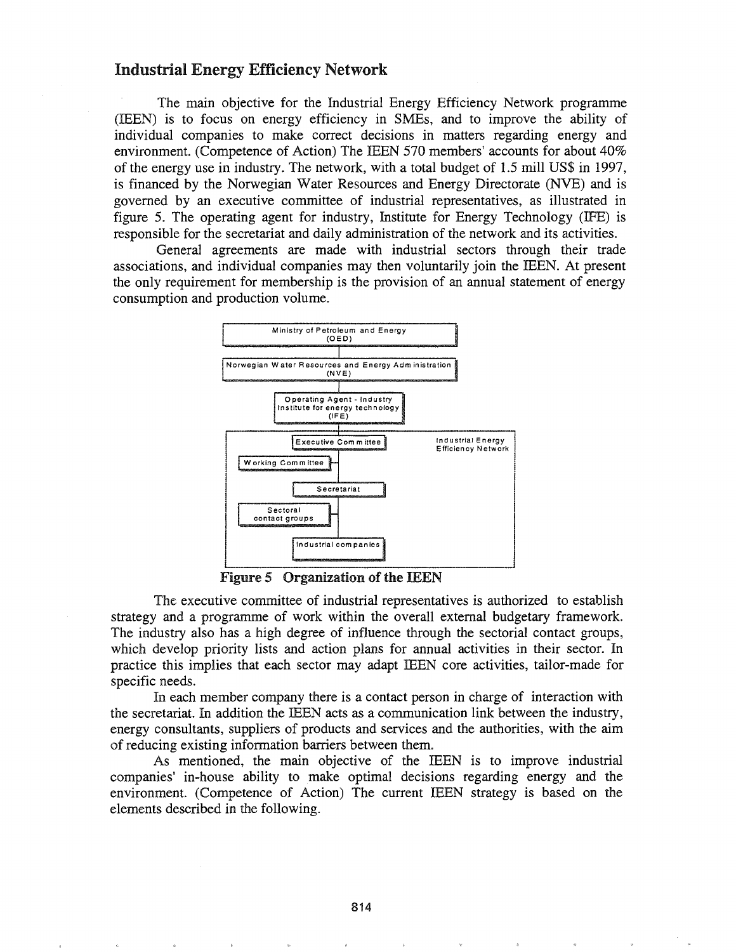## Industrial Energy Efficiency Network

The main objective for the Industrial Energy Efficiency Network programme (IEEN) is to focus on energy efficiency in SMEs, and to improve the ability of individual companies to make correct decisions in matters regarding energy and environment. (Competence of Action) The IEEN 570 members' accounts for about 40% of the energy use in industry. The network, with a total budget of 1.5 mill US\$ in 1997, is financed by the Norwegian Water Resources and Energy Directorate (NVE) and is governed by an executive committee of industrial representatives, as illustrated in figure 5. The operating agent for industry, Institute for Energy Technology (IFE) is responsible for the secretariat and daily administration of the network and its activities.

General agreements are made with industrial sectors through their trade associations, and individual companies may then voluntarily join the IEEN. At present the only requirement for membership is the provision of an annual statement of energy consumption and production volume.



Figure 5 Organization of the IEEN

The executive committee of industrial representatives is authorized to establish strategy and a programme of work within the overall external budgetary framework. The industry also has a high degree of influence through the sectorial contact groups, which develop priority lists and action plans for annual activities in their sector. In practice this implies that each sector may adapt IEEN core activities, tailor-made for specific needs.

In each member company there is a contact person in charge of interaction with the secretariat. In addition the IEEN acts as a communication link between the industry, energy consultants, suppliers of products and services and the authorities, with the aim of reducing existing information barriers between them.

As mentioned, the main objective of the IEEN is to improve industrial companies' in-house ability to make optimal decisions regarding energy and the environment. (Competence of Action) The current IEEN strategy is based on the elements described in the following.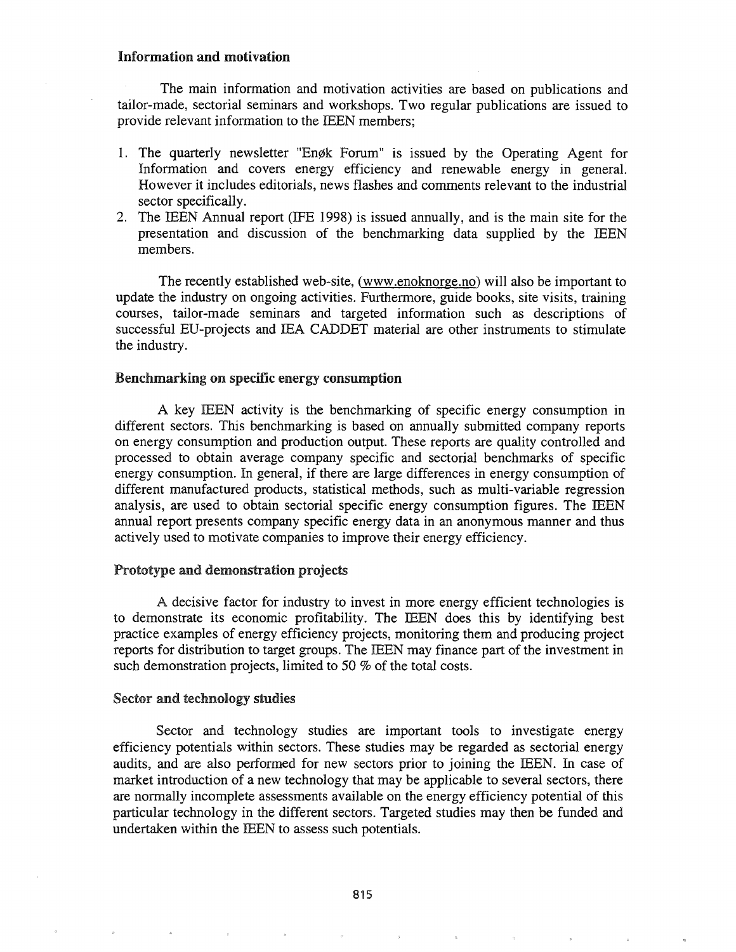## Information and motivation

The main information and motivation activities are based on publications and tailor-made, sectorial seminars and workshops. Two regular publications are issued to provide relevant information to the IEEN members;

- 1. The quarterly newsletter "Enøk Forum" is issued by the Operating Agent for Information and covers energy efficiency and renewable energy in general. However it includes editorials, news flashes and comments relevant to the industrial sector specifically.
- 2. The IEEN Annual report (IFE 1998) is issued annually, and is the main site for the presentation and discussion of the benchmarking data supplied by the IEEN members.

The recently established web-site, (www.enoknorge.no) will also be important to update the industry on ongoing activities. Furthermore, guide books, site visits, training courses, tailor-made seminars and targeted information such as descriptions of successful ED-projects and IEA CADDET material are other instruments to stimulate the industry.

### Benchmarking on specific energy consumption

A key IEEN activity is the benchmarking of specific energy consumption in different sectors. This benchmarking is based on annually submitted company reports on energy consumption and production output. These reports are quality controlled and processed to obtain average company specific and sectorial benchmarks of specific energy consumption. In general, if there are large differences in energy consumption of different manufactured products, statistical methods, such as multi-variable regression analysis, are used to obtain sectorial specific energy consumption figures. The IEEN annual report presents company specific energy data in an anonymous manner and thus actively used to motivate companies to improve their energy efficiency.

### Prototype and demonstration projects

A decisive factor for industry to invest in more energy efficient technologies is to demonstrate its economic profitability. The IEEN does this by identifying best practice examples of energy efficiency projects, monitoring them and producing project reports for distribution to target groups. The IEEN may finance part of the investment in such demonstration projects, limited to 50 % of the total costs.

#### Sector and technology studies

Sector and technology studies are important tools to investigate energy efficiency potentials within sectors. These studies may be regarded as sectorial energy audits, and are also performed for new sectors prior to joining the IEEN. In case of market introduction of a new technology that may be applicable to several sectors, there are normally incomplete assessments available on the energy efficiency potential of this particular technology in the different sectors. Targeted studies may then be funded and undertaken within the IEEN to assess such potentials.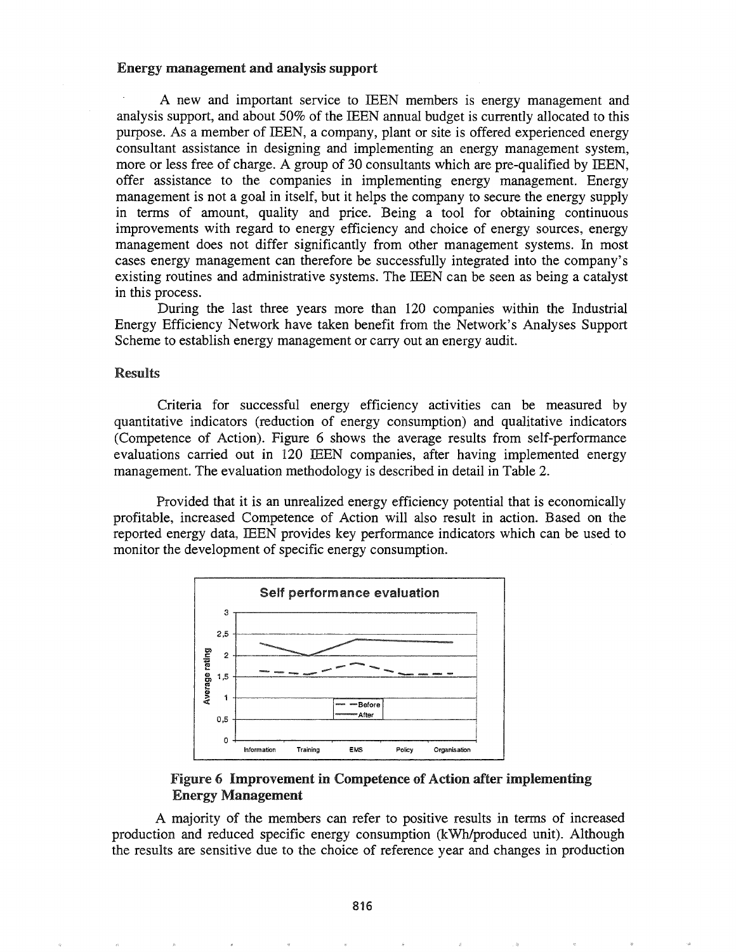#### Energy management and analysis support

A new and important service to IEEN members is energy management and analysis support, and about 50% of the IEEN annual budget is currently allocated to this purpose. As a member of IEEN, a company, plant or site is offered experienced energy consultant assistance in designing and implementing an energy management system, more or less free of charge. A group of 30 consultants which are pre-qualified by IEEN, offer assistance to the companies in implementing energy management. Energy management is not a goal in itself, but it helps the company to secure the energy supply in terms of amount, quality and price. Being a tool for obtaining continuous improvements with regard to energy efficiency and choice of energy sources, energy management does not differ significantly from other management systems. In most cases energy management can therefore be successfully integrated into the company's existing routines and administrative systems. The IEEN can be seen as being a catalyst in this process.

During the last three years more than 120 companies within the Industrial Energy Efficiency Network have taken benefit from the Network's Analyses Support Scheme to establish energy management or carry out an energy audit.

#### Results

Criteria for successful energy efficiency activities can be measured by quantitative indicators (reduction of energy consumption) and qualitative indicators (Competence of Action). Figure 6 shows the average results from self-performance evaluations carried out in 120 IEEN companies, after having implemented energy management. The evaluation methodology is described in detail in Table 2.

Provided that it is an unrealized energy efficiency potential that is economically profitable, increased Competence of Action will also result in action. Based on the reported energy data, IEEN provides key performance indicators which can be used to monitor the development of specific energy consumption.



## Figure 6 Improvement in Competence of Action after implementing Energy Management

A majority of the members can refer to positive results in terms of increased production and reduced specific energy consumption (kWh/produced unit). Although the results are sensitive due to the choice of reference year and changes in production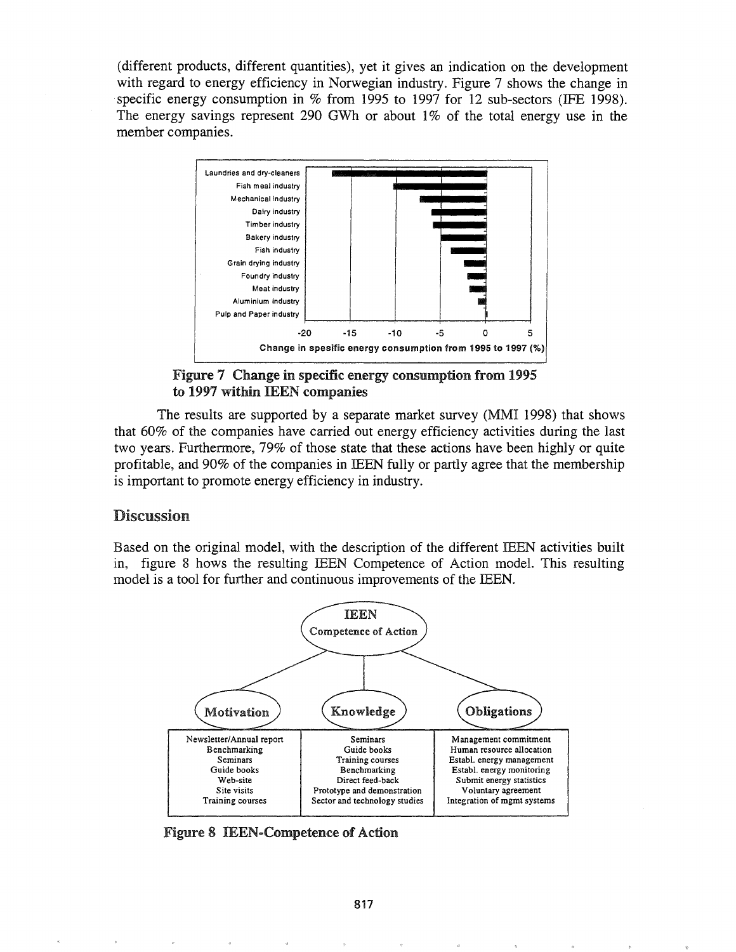(different products, different quantities), yet it gives an indication on the development with regard to energy efficiency in Norwegian industry. Figure 7 shows the change in specific energy consumption in % from 1995 to 1997 for 12 sub-sectors (IFE 1998). The energy savings represent 290 GWh or about 1% of the total energy use in the member companies.



Figure 7 Change in specific energy consumption from 1995 to 1997 within IEEN companies

The results are supported by a separate market survey (MMI 1998) that shows that 60% of the companies have carried out energy efficiency activities during the last two years. Furthermore, 79% of those state that these actions have been highly or quite profitable, and 90% of the companies in IEEN fully or partly agree that the membership is important to promote energy efficiency in industry.

## Discussion

Based on the original model, with the description of the different IEEN activities built in, figure 8 hows the resulting IEEN Competence of Action model. This resulting model is a tool for further and continuous improvements of the IEEN.



Figure 8 IEEN-Competence of Action